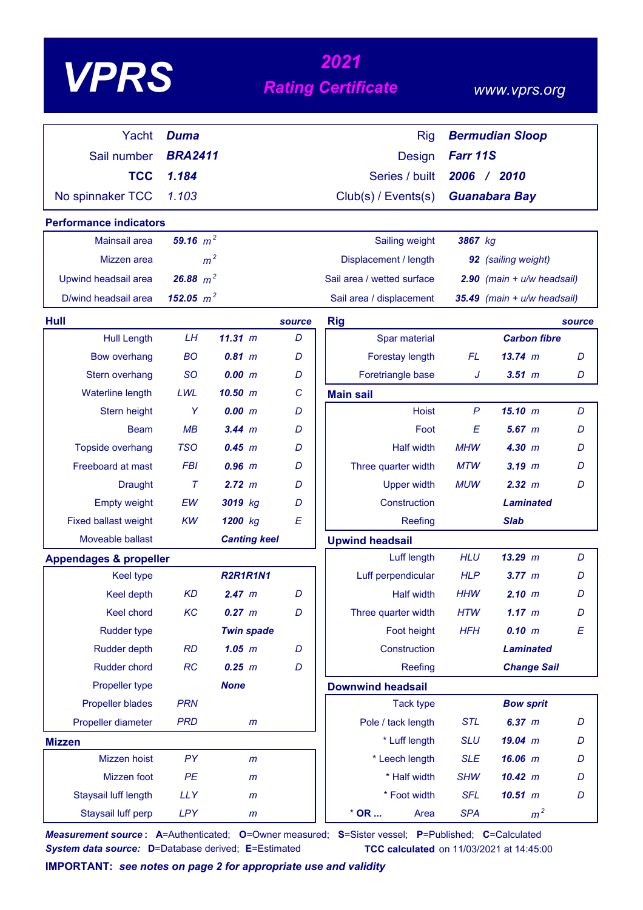| VP |
|----|
|----|

# *<sup>2021</sup> VPRS Rating Certificate*

### *www.vprs.org*

| Yacht                             | <b>Duma</b>    |                     |        | <b>Rig</b>                 |              | <b>Bermudian Sloop</b>         |        |
|-----------------------------------|----------------|---------------------|--------|----------------------------|--------------|--------------------------------|--------|
| Sail number                       | <b>BRA2411</b> |                     |        | Design                     | Farr 11S     |                                |        |
| <b>TCC</b>                        | 1.184          |                     |        | Series / built             |              | 2006 / 2010                    |        |
| No spinnaker TCC                  | 1.103          |                     |        | Club(s) / Events(s)        |              | <b>Guanabara Bay</b>           |        |
| <b>Performance indicators</b>     |                |                     |        |                            |              |                                |        |
| Mainsail area                     | 59.16 $m^2$    |                     |        | Sailing weight             | 3867 kg      |                                |        |
| Mizzen area                       | m <sup>2</sup> |                     |        | Displacement / length      |              | 92 (sailing weight)            |        |
| Upwind headsail area              | 26.88 $m^2$    |                     |        | Sail area / wetted surface |              | $2.90$ (main + $u/w$ headsail) |        |
| D/wind headsail area              | 152.05 $m^2$   |                     |        | Sail area / displacement   |              | 35.49 (main + u/w headsail)    |        |
| Hull                              |                |                     | source | <b>Rig</b>                 |              |                                | source |
| <b>Hull Length</b>                | LН             | 11.31 m             | D      | Spar material              |              | <b>Carbon fibre</b>            |        |
| <b>Bow overhang</b>               | <b>BO</b>      | 0.81 m              | D      | Forestay length            | <b>FL</b>    | $13.74 \; m$                   | D      |
| Stern overhang                    | <b>SO</b>      | 0.00 m              | D      | Foretriangle base          | J            | $3.51$ $m$                     | D      |
| Waterline length                  | LWL            | $10.50$ m           | C      | <b>Main sail</b>           |              |                                |        |
| Stern height                      | Y              | 0.00~m              | D      | <b>Hoist</b>               | $\mathsf{P}$ | 15.10 m                        | D      |
| <b>Beam</b>                       | MB             | 3.44 m              | D      | Foot                       | E            | $5.67$ $m$                     | D      |
| <b>Topside overhang</b>           | <b>TSO</b>     | $0.45$ m            | D      | <b>Half width</b>          | <b>MHW</b>   | 4.30 m                         | D      |
| Freeboard at mast                 | <b>FBI</b>     | $0.96$ $m$          | D      | Three quarter width        | <b>MTW</b>   | $3.19$ m                       | D      |
| <b>Draught</b>                    | $\tau$         | 2.72 m              | D      | <b>Upper width</b>         | <b>MUW</b>   | 2.32 m                         | D      |
| <b>Empty weight</b>               | EW             | 3019 kg             | D      | Construction               |              | <b>Laminated</b>               |        |
| <b>Fixed ballast weight</b>       | <b>KW</b>      | 1200 kg             | E      | Reefing                    |              | <b>Slab</b>                    |        |
| Moveable ballast                  |                | <b>Canting keel</b> |        | <b>Upwind headsail</b>     |              |                                |        |
| <b>Appendages &amp; propeller</b> |                |                     |        | Luff length                | <b>HLU</b>   | $13.29$ m                      | D      |
| <b>Keel type</b>                  |                | <b>R2R1R1N1</b>     |        | Luff perpendicular         | <b>HLP</b>   | 3.77~m                         | D      |
| Keel depth                        | <b>KD</b>      | 2.47 m              | D      | <b>Half width</b>          | <b>HHW</b>   | 2.10 m                         | D      |
| Keel chord                        | KC             | 0.27 m              | D      | Three quarter width        | <b>HTW</b>   | 1.17 m                         | D      |
| <b>Rudder type</b>                |                | <b>Twin spade</b>   |        | Foot height                | <b>HFH</b>   | 0.10 m                         | E      |
| Rudder depth                      | RD             | $1.05$ $m$          | D      | Construction               |              | <b>Laminated</b>               |        |
| Rudder chord                      | RC             | $0.25$ $m$          | D      | Reefing                    |              | <b>Change Sail</b>             |        |
| Propeller type                    |                | <b>None</b>         |        | <b>Downwind headsail</b>   |              |                                |        |
| <b>Propeller blades</b>           | <b>PRN</b>     |                     |        | <b>Tack type</b>           |              | <b>Bow sprit</b>               |        |
| Propeller diameter                | <b>PRD</b>     | $\mathsf{m}$        |        | Pole / tack length         | <b>STL</b>   | 6.37 m                         | D      |
| <b>Mizzen</b>                     |                |                     |        | * Luff length              | <b>SLU</b>   | $19.04$ m                      | D      |
| Mizzen hoist                      | PY             | $\mathsf{m}$        |        | * Leech length             | <b>SLE</b>   | 16.06 m                        | D      |
| Mizzen foot                       | PE             | $\mathsf{m}$        |        | * Half width               | <b>SHW</b>   | 10.42 m                        | D      |
| Staysail luff length              | <b>LLY</b>     | $\mathsf{m}$        |        | * Foot width               | <b>SFL</b>   | $10.51$ $m$                    | D      |
| Staysail luff perp                | <b>LPY</b>     | $\mathsf{m}$        |        | $*$ OR<br>Area             | <b>SPA</b>   | m <sup>2</sup>                 |        |

*Measurement source* **: A**=Authenticated; **O**=Owner measured; **S**=Sister vessel; **P**=Published; **C**=Calculated *System data source:* **D**=Database derived; **E**=Estimated **TCC calculated** on 11/03/2021 at 14:45:00

**IMPORTANT:** *see notes on page 2 for appropriate use and validity*